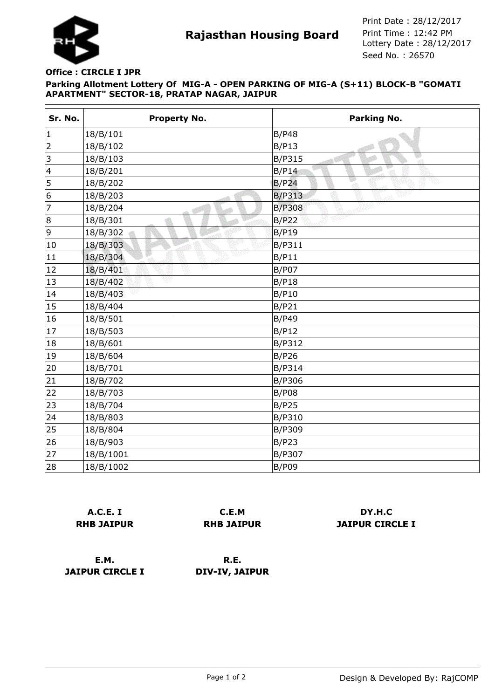

**Rajasthan Housing Board** Print Time : 12:42 PM<br>Lottery Date : 28/12/2017 Seed No. : 26570 Print Date : 28/12/2017 Print Time : 12:42 PM

## **Parking Allotment Lottery Of MIG-A - OPEN PARKING OF MIG-A (S+11) BLOCK-B "GOMATI APARTMENT" SECTOR-18, PRATAP NAGAR, JAIPUR Office : CIRCLE I JPR**

| Sr. No.   | <b>Property No.</b> | Parking No.               |
|-----------|---------------------|---------------------------|
| $\vert$ 1 | 18/B/101            | <b>B/P48</b>              |
| 2         | 18/B/102            | B/P13                     |
| 3         | 18/B/103            | B<br><b>B/P315</b><br>-at |
| 4         | 18/B/201            | B/P14                     |
| 5         | 18/B/202            | B/P <sub>24</sub>         |
| 6         | 18/B/203            | <b>B/P313</b>             |
| 7         | 18/B/204            | <b>B/P308</b>             |
| 8         | 18/B/301            | B/P22                     |
| 9         | 18/B/302            | <b>B/P19</b>              |
| 10        | 18/B/303            | <b>B/P311</b>             |
| 11        | 18/B/304            | B/P11                     |
| 12        | Y<br>18/B/401       | <b>B/P07</b>              |
| 13        | 18/B/402            | B/P18                     |
| 14        | 18/B/403            | <b>B/P10</b>              |
| 15        | 18/B/404            | B/P21                     |
| 16        | 18/B/501            | <b>B/P49</b>              |
| 17        | 18/B/503            | B/P12                     |
| 18        | 18/B/601            | B/P312                    |
| 19        | 18/B/604            | B/P26                     |
| 20        | 18/B/701            | <b>B/P314</b>             |
| 21        | 18/B/702            | B/P306                    |
| 22        | 18/B/703            | <b>B/P08</b>              |
| 23        | 18/B/704            | B/P25                     |
| 24        | 18/B/803            | B/P310                    |
| 25        | 18/B/804            | B/P309                    |
| 26        | 18/B/903            | B/P23                     |
| 27        | 18/B/1001           | B/P307                    |
| 28        | 18/B/1002           | <b>B/P09</b>              |

| A.C.E. I          |  |  |
|-------------------|--|--|
| <b>RHB JAIPUR</b> |  |  |

**C.E.M RHB JAIPUR**

**DY.H.C JAIPUR CIRCLE I**

**E.M. JAIPUR CIRCLE I**

**R.E. DIV-IV, JAIPUR**